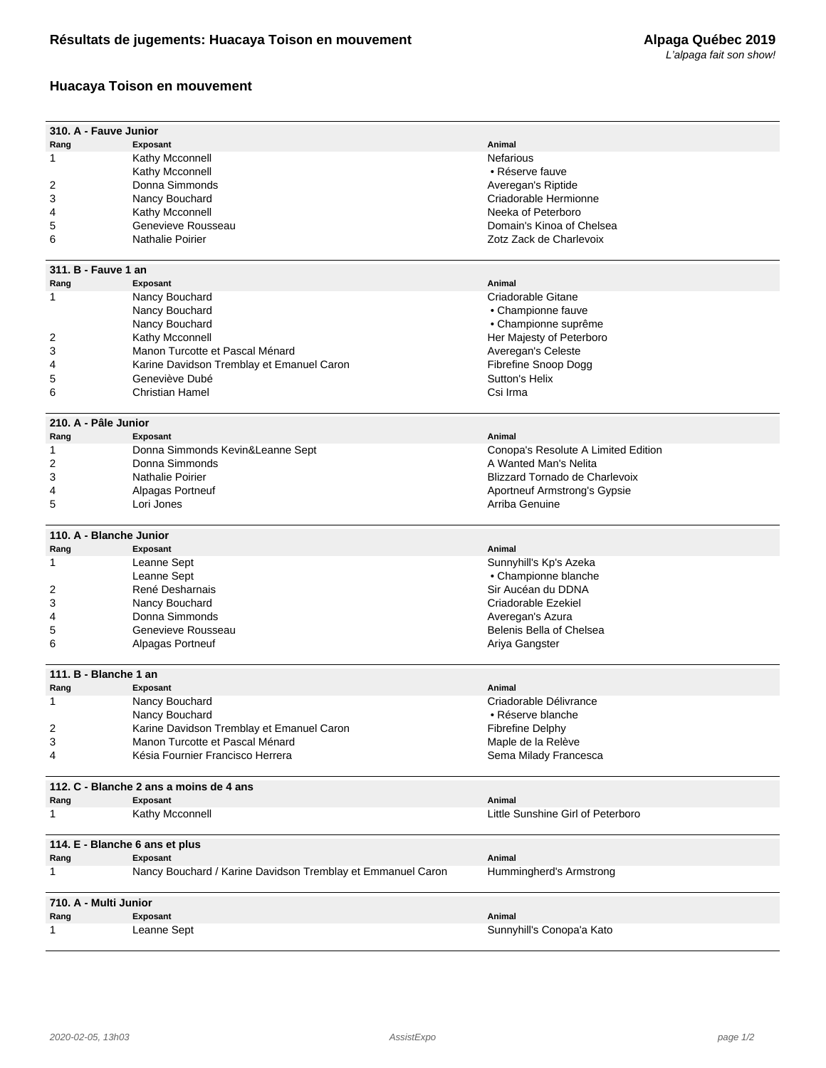## **Huacaya Toison en mouvement**

| 310. A - Fauve Junior                   |                                                             |                                     |  |
|-----------------------------------------|-------------------------------------------------------------|-------------------------------------|--|
| Rang                                    | Exposant                                                    | Animal                              |  |
| 1                                       | Kathy Mcconnell                                             | Nefarious                           |  |
|                                         | Kathy Mcconnell                                             | • Réserve fauve                     |  |
| 2                                       | Donna Simmonds                                              | Averegan's Riptide                  |  |
| 3                                       | Nancy Bouchard                                              | Criadorable Hermionne               |  |
| 4                                       | Kathy Mcconnell                                             | Neeka of Peterboro                  |  |
| 5                                       | Genevieve Rousseau                                          | Domain's Kinoa of Chelsea           |  |
| 6                                       | <b>Nathalie Poirier</b>                                     | Zotz Zack de Charlevoix             |  |
|                                         |                                                             |                                     |  |
| 311. B - Fauve 1 an                     |                                                             |                                     |  |
| Rang                                    | Exposant                                                    | Animal                              |  |
| 1                                       | Nancy Bouchard                                              | Criadorable Gitane                  |  |
|                                         | Nancy Bouchard                                              | • Championne fauve                  |  |
|                                         | Nancy Bouchard                                              | • Championne suprême                |  |
| 2                                       | Kathy Mcconnell                                             | Her Majesty of Peterboro            |  |
| 3                                       | Manon Turcotte et Pascal Ménard                             | Averegan's Celeste                  |  |
| 4                                       | Karine Davidson Tremblay et Emanuel Caron                   | Fibrefine Snoop Dogg                |  |
| 5                                       | Geneviève Dubé                                              | Sutton's Helix                      |  |
| 6                                       | <b>Christian Hamel</b>                                      | Csi Irma                            |  |
|                                         |                                                             |                                     |  |
| 210. A - Pâle Junior                    |                                                             |                                     |  |
| Rang                                    | Exposant                                                    | Animal                              |  |
| 1                                       | Donna Simmonds Kevin&Leanne Sept                            | Conopa's Resolute A Limited Edition |  |
| 2                                       | Donna Simmonds                                              | A Wanted Man's Nelita               |  |
| 3                                       | Nathalie Poirier                                            | Blizzard Tornado de Charlevoix      |  |
| 4                                       | Alpagas Portneuf                                            | Aportneuf Armstrong's Gypsie        |  |
| 5                                       | Lori Jones                                                  | Arriba Genuine                      |  |
|                                         |                                                             |                                     |  |
| 110. A - Blanche Junior                 |                                                             |                                     |  |
| Rang                                    | Exposant                                                    | Animal                              |  |
| 1                                       | Leanne Sept                                                 | Sunnyhill's Kp's Azeka              |  |
|                                         | Leanne Sept                                                 | • Championne blanche                |  |
| 2                                       | René Desharnais                                             | Sir Aucéan du DDNA                  |  |
| 3                                       | Nancy Bouchard                                              | Criadorable Ezekiel                 |  |
| 4                                       | Donna Simmonds                                              | Averegan's Azura                    |  |
| 5                                       | Genevieve Rousseau                                          | Belenis Bella of Chelsea            |  |
| 6                                       | Alpagas Portneuf                                            | Ariya Gangster                      |  |
|                                         |                                                             |                                     |  |
| 111. B - Blanche 1 an                   |                                                             |                                     |  |
| Rang                                    | Exposant                                                    | Animal                              |  |
| 1                                       | Nancy Bouchard                                              | Criadorable Délivrance              |  |
|                                         | Nancy Bouchard                                              | • Réserve blanche                   |  |
| 2                                       | Karine Davidson Tremblay et Emanuel Caron                   | <b>Fibrefine Delphy</b>             |  |
| 3                                       | Manon Turcotte et Pascal Ménard                             | Maple de la Relève                  |  |
| 4                                       | Késia Fournier Francisco Herrera                            | Sema Milady Francesca               |  |
|                                         |                                                             |                                     |  |
| 112. C - Blanche 2 ans a moins de 4 ans |                                                             |                                     |  |
| Rang                                    | Exposant                                                    | Animal                              |  |
| 1                                       | Kathy Mcconnell                                             | Little Sunshine Girl of Peterboro   |  |
|                                         |                                                             |                                     |  |
| 114. E - Blanche 6 ans et plus          |                                                             |                                     |  |
| Rang                                    | Exposant                                                    | Animal                              |  |
| 1                                       | Nancy Bouchard / Karine Davidson Tremblay et Emmanuel Caron | Hummingherd's Armstrong             |  |
| 710. A - Multi Junior                   |                                                             |                                     |  |
| Rang                                    | Exposant                                                    | Animal                              |  |
| 1                                       | Leanne Sept                                                 | Sunnyhill's Conopa'a Kato           |  |
|                                         |                                                             |                                     |  |
|                                         |                                                             |                                     |  |